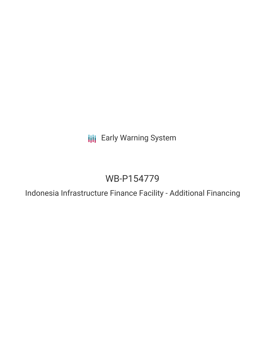**III** Early Warning System

# WB-P154779

Indonesia Infrastructure Finance Facility - Additional Financing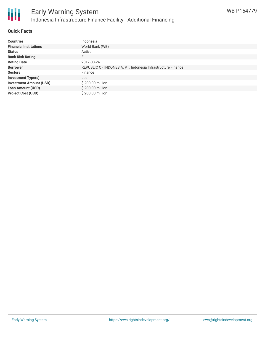

## **Quick Facts**

| <b>Countries</b>               | Indonesia                                                   |
|--------------------------------|-------------------------------------------------------------|
| <b>Financial Institutions</b>  | World Bank (WB)                                             |
| <b>Status</b>                  | Active                                                      |
| <b>Bank Risk Rating</b>        | FI                                                          |
| <b>Voting Date</b>             | 2017-03-24                                                  |
| <b>Borrower</b>                | REPUBLIC OF INDONESIA. PT. Indonesia Infrastructure Finance |
| <b>Sectors</b>                 | Finance                                                     |
| <b>Investment Type(s)</b>      | Loan                                                        |
| <b>Investment Amount (USD)</b> | \$200.00 million                                            |
| <b>Loan Amount (USD)</b>       | \$200.00 million                                            |
| <b>Project Cost (USD)</b>      | \$200.00 million                                            |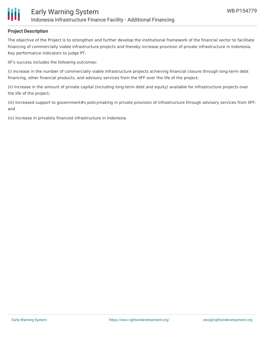# **Project Description**

The objective of the Project is to strengthen and further develop the institutional framework of the financial sector to facilitate financing of commercially viable infrastructure projects and thereby increase provision of private infrastructure in Indonesia. Key performance indicators to judge PT.

IIF's success includes the following outcomes:

(i) increase in the number of commercially viable infrastructure projects achieving financial closure through long-term debt financing, other financial products, and advisory services from the IIFF over the life of the project;

(ii) Increase in the amount of private capital (including long-term debt and equity) available for infrastructure projects over the life of the project;

(iii) Increased support to government#s policymaking in private provision of infrastructure through advisory services from IIFF; and

(iv) Increase in privately financed infrastructure in Indonesia.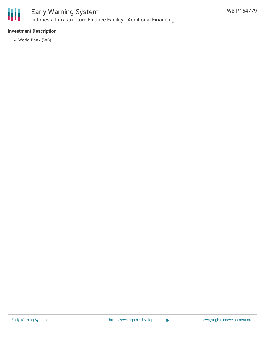

# **Investment Description**

World Bank (WB)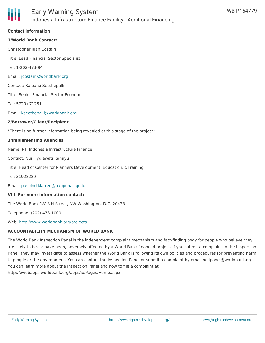

## **Contact Information**

# **1/World Bank Contact:**

Christopher Juan Costain

Title: Lead Financial Sector Specialist

Tel: 1-202-473-94

Email: [jcostain@worldbank.org](mailto:jcostain@worldbank.org)

Contact: Kalpana Seethepalli

Title: Senior Financial Sector Economist

Tel: 5720+71251

Email: [kseethepalli@worldbank.org](mailto:kseethepalli@worldbank.org)

#### **2/Borrower/Client/Recipient**

\*There is no further information being revealed at this stage of the project\*

#### **3/Implementing Agencies**

Name: PT. Indonesia Infrastructure Finance

Contact: Nur Hydiawati Rahayu

Title: Head of Center for Planners Development, Education, &Training

Tel: 31928280

Email: [pusbindiklatren@bappenas.go.id](mailto:pusbindiklatren@bappenas.go.id)

#### **VIII. For more information contact:**

The World Bank 1818 H Street, NW Washington, D.C. 20433

Telephone: (202) 473-1000

Web: <http://www.worldbank.org/projects>

## **ACCOUNTABILITY MECHANISM OF WORLD BANK**

The World Bank Inspection Panel is the independent complaint mechanism and fact-finding body for people who believe they are likely to be, or have been, adversely affected by a World Bank-financed project. If you submit a complaint to the Inspection Panel, they may investigate to assess whether the World Bank is following its own policies and procedures for preventing harm to people or the environment. You can contact the Inspection Panel or submit a complaint by emailing ipanel@worldbank.org. You can learn more about the Inspection Panel and how to file a complaint at: http://ewebapps.worldbank.org/apps/ip/Pages/Home.aspx.